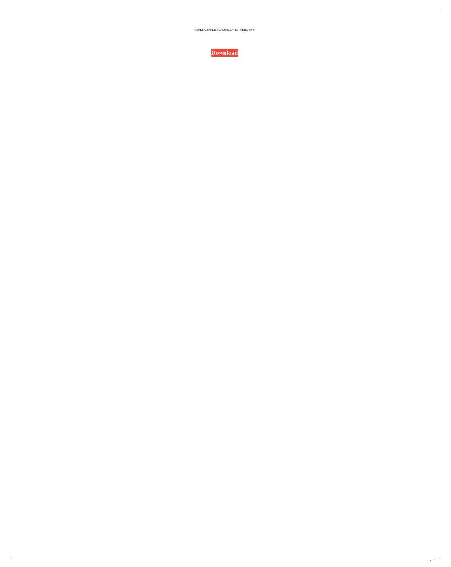GENERADOR DE EVALUACIONES - Vicens Vives